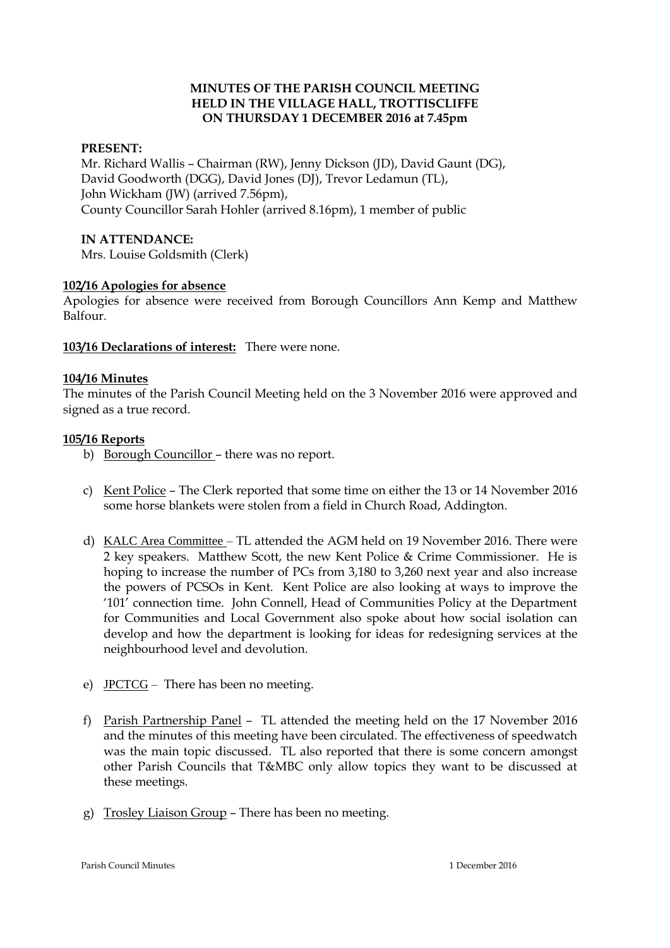## **MINUTES OF THE PARISH COUNCIL MEETING HELD IN THE VILLAGE HALL, TROTTISCLIFFE ON THURSDAY 1 DECEMBER 2016 at 7.45pm**

## **PRESENT:**

Mr. Richard Wallis – Chairman (RW), Jenny Dickson (JD), David Gaunt (DG), David Goodworth (DGG), David Jones (DJ), Trevor Ledamun (TL), John Wickham (JW) (arrived 7.56pm), County Councillor Sarah Hohler (arrived 8.16pm), 1 member of public

### **IN ATTENDANCE:**

Mrs. Louise Goldsmith (Clerk)

### **102/16 Apologies for absence**

Apologies for absence were received from Borough Councillors Ann Kemp and Matthew Balfour.

**103/16 Declarations of interest:** There were none.

### **104/16 Minutes**

The minutes of the Parish Council Meeting held on the 3 November 2016 were approved and signed as a true record.

### **105/16 Reports**

- b) Borough Councillor there was no report.
- c) Kent Police The Clerk reported that some time on either the 13 or 14 November 2016 some horse blankets were stolen from a field in Church Road, Addington.
- d) KALC Area Committee TL attended the AGM held on 19 November 2016. There were 2 key speakers. Matthew Scott, the new Kent Police & Crime Commissioner. He is hoping to increase the number of PCs from 3,180 to 3,260 next year and also increase the powers of PCSOs in Kent. Kent Police are also looking at ways to improve the '101' connection time. John Connell, Head of Communities Policy at the Department for Communities and Local Government also spoke about how social isolation can develop and how the department is looking for ideas for redesigning services at the neighbourhood level and devolution.
- e) JPCTCG There has been no meeting.
- f) Parish Partnership Panel TL attended the meeting held on the 17 November 2016 and the minutes of this meeting have been circulated. The effectiveness of speedwatch was the main topic discussed. TL also reported that there is some concern amongst other Parish Councils that T&MBC only allow topics they want to be discussed at these meetings.
- g) Trosley Liaison Group There has been no meeting.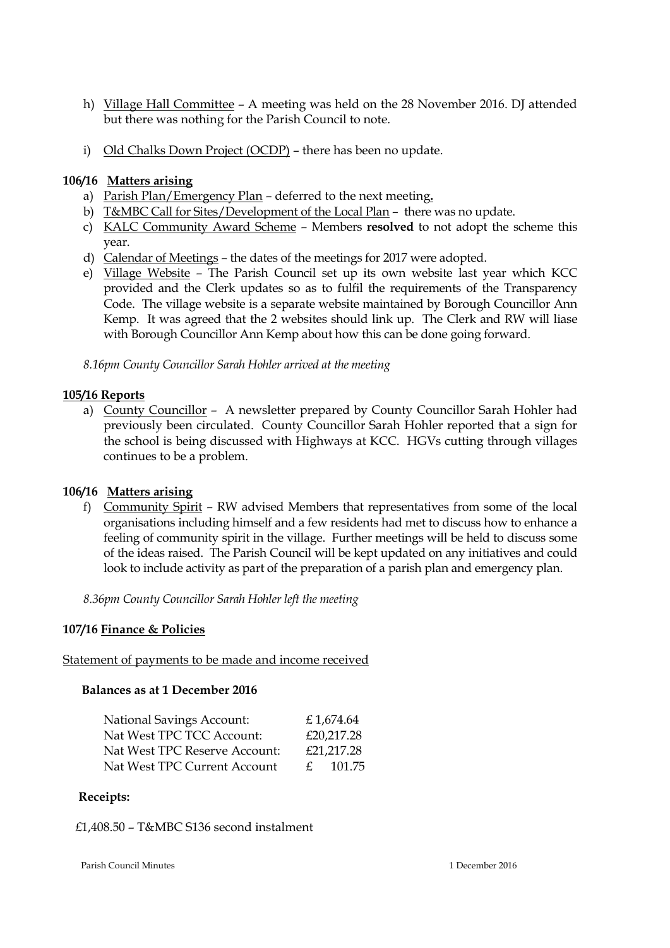- h) Village Hall Committee A meeting was held on the 28 November 2016. DJ attended but there was nothing for the Parish Council to note.
- i) Old Chalks Down Project (OCDP) there has been no update.

## **106/16 Matters arising**

- a) Parish Plan/Emergency Plan deferred to the next meeting**.**
- b) T&MBC Call for Sites/Development of the Local Plan there was no update.
- c) KALC Community Award Scheme Members **resolved** to not adopt the scheme this year.
- d) Calendar of Meetings the dates of the meetings for 2017 were adopted.
- e) Village Website The Parish Council set up its own website last year which KCC provided and the Clerk updates so as to fulfil the requirements of the Transparency Code. The village website is a separate website maintained by Borough Councillor Ann Kemp. It was agreed that the 2 websites should link up. The Clerk and RW will liase with Borough Councillor Ann Kemp about how this can be done going forward.

*8.16pm County Councillor Sarah Hohler arrived at the meeting*

# **105/16 Reports**

a) County Councillor – A newsletter prepared by County Councillor Sarah Hohler had previously been circulated. County Councillor Sarah Hohler reported that a sign for the school is being discussed with Highways at KCC. HGVs cutting through villages continues to be a problem.

# **106/16 Matters arising**

f) Community Spirit – RW advised Members that representatives from some of the local organisations including himself and a few residents had met to discuss how to enhance a feeling of community spirit in the village. Further meetings will be held to discuss some of the ideas raised. The Parish Council will be kept updated on any initiatives and could look to include activity as part of the preparation of a parish plan and emergency plan.

*8.36pm County Councillor Sarah Hohler left the meeting*

## **107/16 Finance & Policies**

Statement of payments to be made and income received

## **Balances as at 1 December 2016**

| <b>National Savings Account:</b> |   | £1,674.64  |
|----------------------------------|---|------------|
| Nat West TPC TCC Account:        |   | £20,217.28 |
| Nat West TPC Reserve Account:    |   | £21,217.28 |
| Nat West TPC Current Account     | f | 101.75     |

## **Receipts:**

£1,408.50 – T&MBC S136 second instalment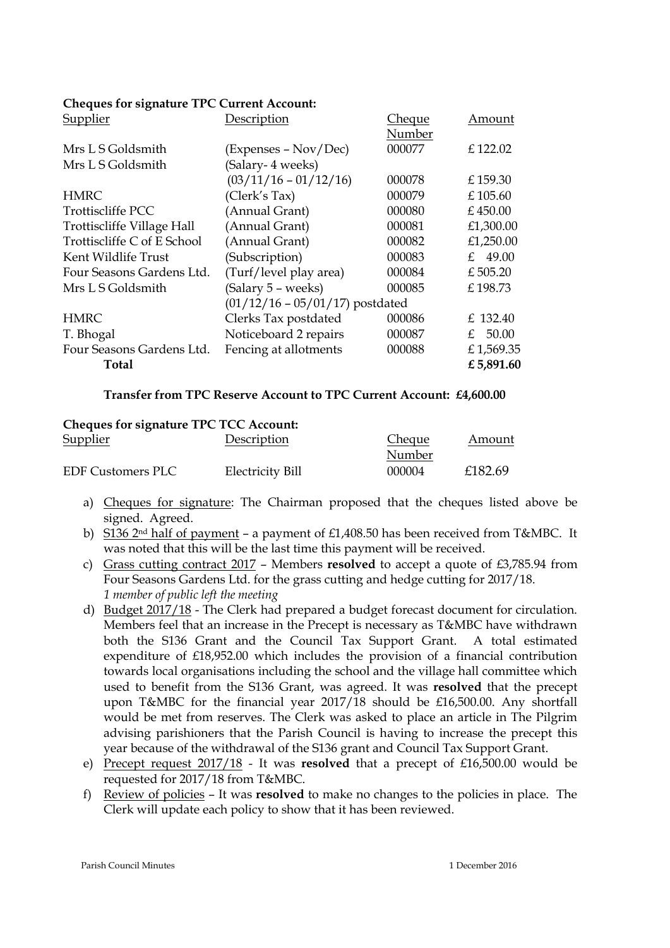# **Cheques for signature TPC Current Account:**

| Supplier                    | Description                       | <b>Cheque</b> | Amount      |
|-----------------------------|-----------------------------------|---------------|-------------|
|                             |                                   | Number        |             |
| Mrs L S Goldsmith           | (Expenses – Nov/Dec)              | 000077        | £122.02     |
| Mrs L S Goldsmith           | (Salary- 4 weeks)                 |               |             |
|                             | $(03/11/16 - 01/12/16)$           | 000078        | £ 159.30    |
| <b>HMRC</b>                 | (Clerk's Tax)                     | 000079        | £105.60     |
| Trottiscliffe PCC           | (Annual Grant)                    | 000080        | £450.00     |
| Trottiscliffe Village Hall  | (Annual Grant)                    | 000081        | £1,300.00   |
| Trottiscliffe C of E School | (Annual Grant)                    | 000082        | £1,250.00   |
| Kent Wildlife Trust         | (Subscription)                    | 000083        | £ 49.00     |
| Four Seasons Gardens Ltd.   | (Turf/level play area)            | 000084        | £505.20     |
| Mrs L S Goldsmith           | (Salary 5 – weeks)                | 000085        | £198.73     |
|                             | $(01/12/16 - 05/01/17)$ postdated |               |             |
| <b>HMRC</b>                 | Clerks Tax postdated              | 000086        | £ 132.40    |
| T. Bhogal                   | Noticeboard 2 repairs             | 000087        | 50.00<br>£. |
| Four Seasons Gardens Ltd.   | Fencing at allotments             | 000088        | £1,569.35   |
| Total                       |                                   |               | £5,891.60   |

#### **Transfer from TPC Reserve Account to TPC Current Account: £4,600.00**

| <b>Cheques for signature TPC TCC Account:</b> |                  |        |         |
|-----------------------------------------------|------------------|--------|---------|
| <b>Supplier</b>                               | Description      | Cheque | Amount  |
|                                               |                  | Number |         |
| <b>EDF Customers PLC</b>                      | Electricity Bill | 000004 | £182.69 |

- a) Cheques for signature: The Chairman proposed that the cheques listed above be signed. Agreed.
- b) S136 2nd half of payment a payment of £1,408.50 has been received from T&MBC. It was noted that this will be the last time this payment will be received.
- c) Grass cutting contract 2017 Members **resolved** to accept a quote of £3,785.94 from Four Seasons Gardens Ltd. for the grass cutting and hedge cutting for 2017/18. *1 member of public left the meeting*
- d) Budget 2017/18 The Clerk had prepared a budget forecast document for circulation. Members feel that an increase in the Precept is necessary as T&MBC have withdrawn both the S136 Grant and the Council Tax Support Grant. A total estimated expenditure of £18,952.00 which includes the provision of a financial contribution towards local organisations including the school and the village hall committee which used to benefit from the S136 Grant, was agreed. It was **resolved** that the precept upon T&MBC for the financial year 2017/18 should be £16,500.00. Any shortfall would be met from reserves. The Clerk was asked to place an article in The Pilgrim advising parishioners that the Parish Council is having to increase the precept this year because of the withdrawal of the S136 grant and Council Tax Support Grant.
- e) Precept request 2017/18 It was **resolved** that a precept of £16,500.00 would be requested for 2017/18 from T&MBC.
- f) Review of policies It was **resolved** to make no changes to the policies in place. The Clerk will update each policy to show that it has been reviewed.

Parish Council Minutes 1 December 2016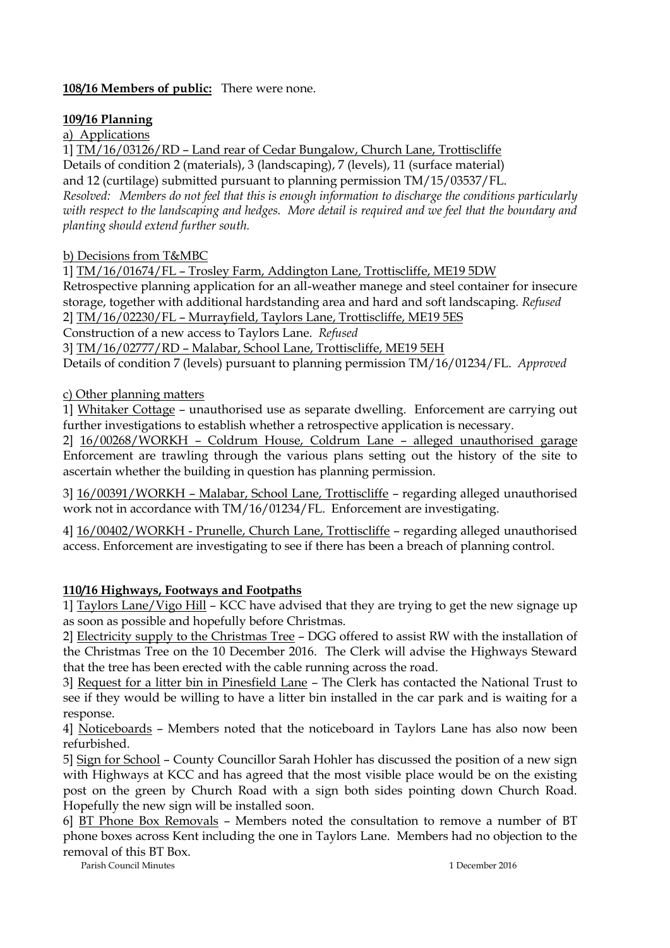# **108/16 Members of public:** There were none.

# **109/16 Planning**

a) Applications

1] TM/16/03126/RD – Land rear of Cedar Bungalow, Church Lane, Trottiscliffe

Details of condition 2 (materials), 3 (landscaping), 7 (levels), 11 (surface material) and 12 (curtilage) submitted pursuant to planning permission TM/15/03537/FL. *Resolved: Members do not feel that this is enough information to discharge the conditions particularly with respect to the landscaping and hedges. More detail is required and we feel that the boundary and planting should extend further south.*

# b) Decisions from T&MBC

1] TM/16/01674/FL – Trosley Farm, Addington Lane, Trottiscliffe, ME19 5DW

Retrospective planning application for an all-weather manege and steel container for insecure storage, together with additional hardstanding area and hard and soft landscaping. *Refused* 2] TM/16/02230/FL – Murrayfield, Taylors Lane, Trottiscliffe, ME19 5ES

Construction of a new access to Taylors Lane. *Refused*

3] TM/16/02777/RD – Malabar, School Lane, Trottiscliffe, ME19 5EH

Details of condition 7 (levels) pursuant to planning permission TM/16/01234/FL. *Approved*

c) Other planning matters

1] Whitaker Cottage – unauthorised use as separate dwelling. Enforcement are carrying out further investigations to establish whether a retrospective application is necessary.

2] 16/00268/WORKH – Coldrum House, Coldrum Lane – alleged unauthorised garage Enforcement are trawling through the various plans setting out the history of the site to ascertain whether the building in question has planning permission.

3] 16/00391/WORKH – Malabar, School Lane, Trottiscliffe – regarding alleged unauthorised work not in accordance with TM/16/01234/FL. Enforcement are investigating.

4] 16/00402/WORKH - Prunelle, Church Lane, Trottiscliffe – regarding alleged unauthorised access. Enforcement are investigating to see if there has been a breach of planning control.

# **110/16 Highways, Footways and Footpaths**

1] Taylors Lane/Vigo Hill – KCC have advised that they are trying to get the new signage up as soon as possible and hopefully before Christmas.

2] Electricity supply to the Christmas Tree – DGG offered to assist RW with the installation of the Christmas Tree on the 10 December 2016. The Clerk will advise the Highways Steward that the tree has been erected with the cable running across the road.

3] Request for a litter bin in Pinesfield Lane – The Clerk has contacted the National Trust to see if they would be willing to have a litter bin installed in the car park and is waiting for a response.

4] Noticeboards – Members noted that the noticeboard in Taylors Lane has also now been refurbished.

5] Sign for School – County Councillor Sarah Hohler has discussed the position of a new sign with Highways at KCC and has agreed that the most visible place would be on the existing post on the green by Church Road with a sign both sides pointing down Church Road. Hopefully the new sign will be installed soon.

6] BT Phone Box Removals – Members noted the consultation to remove a number of BT phone boxes across Kent including the one in Taylors Lane. Members had no objection to the removal of this BT Box.

Parish Council Minutes 1 December 2016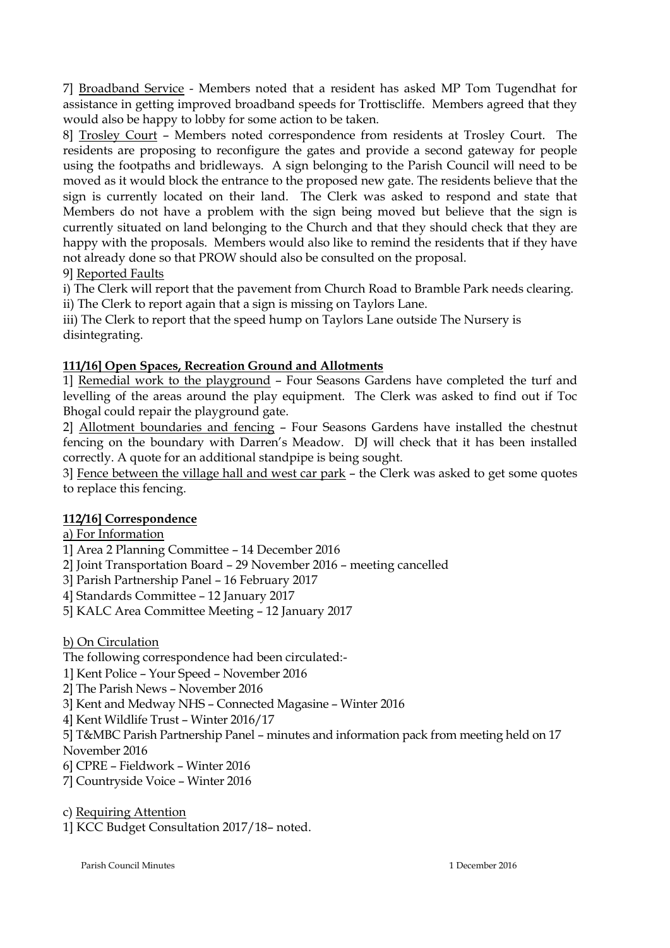7] Broadband Service - Members noted that a resident has asked MP Tom Tugendhat for assistance in getting improved broadband speeds for Trottiscliffe. Members agreed that they would also be happy to lobby for some action to be taken.

8] Trosley Court – Members noted correspondence from residents at Trosley Court. The residents are proposing to reconfigure the gates and provide a second gateway for people using the footpaths and bridleways. A sign belonging to the Parish Council will need to be moved as it would block the entrance to the proposed new gate. The residents believe that the sign is currently located on their land. The Clerk was asked to respond and state that Members do not have a problem with the sign being moved but believe that the sign is currently situated on land belonging to the Church and that they should check that they are happy with the proposals. Members would also like to remind the residents that if they have not already done so that PROW should also be consulted on the proposal. 9] Reported Faults

i) The Clerk will report that the pavement from Church Road to Bramble Park needs clearing.

ii) The Clerk to report again that a sign is missing on Taylors Lane.

iii) The Clerk to report that the speed hump on Taylors Lane outside The Nursery is disintegrating.

# **111/16] Open Spaces, Recreation Ground and Allotments**

1] Remedial work to the playground – Four Seasons Gardens have completed the turf and levelling of the areas around the play equipment. The Clerk was asked to find out if Toc Bhogal could repair the playground gate.

2] Allotment boundaries and fencing – Four Seasons Gardens have installed the chestnut fencing on the boundary with Darren's Meadow. DJ will check that it has been installed correctly. A quote for an additional standpipe is being sought.

3] Fence between the village hall and west car park - the Clerk was asked to get some quotes to replace this fencing.

# **112/16] Correspondence**

a) For Information

1] Area 2 Planning Committee – 14 December 2016

2] Joint Transportation Board – 29 November 2016 – meeting cancelled

3] Parish Partnership Panel – 16 February 2017

4] Standards Committee – 12 January 2017

5] KALC Area Committee Meeting – 12 January 2017

b) On Circulation

The following correspondence had been circulated:-

1] Kent Police – Your Speed – November 2016

2] The Parish News – November 2016

3] Kent and Medway NHS – Connected Magasine – Winter 2016

4] Kent Wildlife Trust – Winter 2016/17

5] T&MBC Parish Partnership Panel – minutes and information pack from meeting held on 17 November 2016

6] CPRE – Fieldwork – Winter 2016

7] Countryside Voice – Winter 2016

c) Requiring Attention

1] KCC Budget Consultation 2017/18– noted.